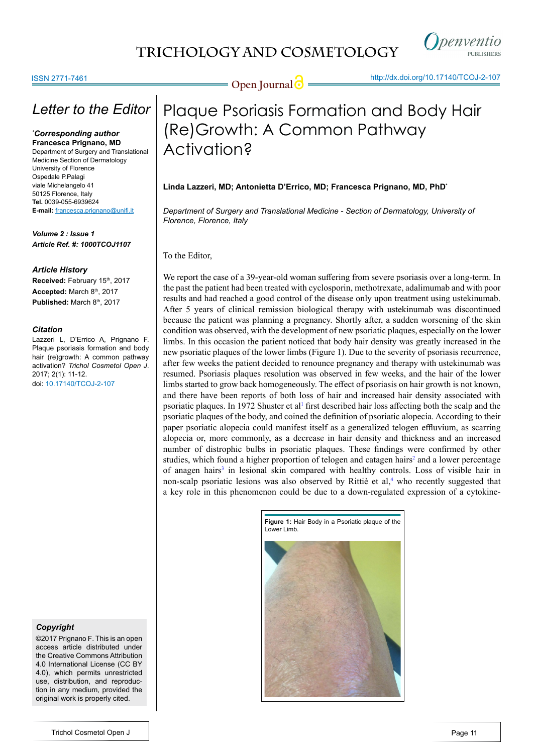

### ISSN 2771-7461

## *Letter to the Editor*

#### *\* Corresponding author* **Francesca Prignano, MD**

Department of Surgery and Translational Medicine Section of Dermatology University of Florence Ospedale P.Palagi viale Michelangelo 41 50125 Florence, Italy **Tel.** 0039-055-6939624 **E-mail:** francesca.prignano@unifi.it

*Volume 2 : Issue 1 Article Ref. #: 1000TCOJ1107*

### *Article History*

Received: February 15<sup>th</sup>, 2017 **Accepted:** March 8th, 2017 Published: March 8th, 2017

### *Citation*

Lazzeri L, D'Errico A, Prignano F. Plaque psoriasis formation and body hair (re)growth: A common pathway activation? *Trichol Cosmetol Open J*. 2017; 2(1): 11-12. doi: [10.17140/TCOJ-2-107](http://dx.doi.org/10.17140/TCOJ-2-107)

### *Copyright*

©2017 Prignano F. This is an open access article distributed under the Creative Commons Attribution 4.0 International License (CC BY 4.0), which permits unrestricted use, distribution, and reproduction in any medium, provided the original work is properly cited.

**Open Journal <b>O** <u>Alteric Manufolds, Architects</u>

# Plaque Psoriasis Formation and Body Hair (Re)Growth: A Common Pathway Activation?

### **Linda Lazzeri, MD; Antonietta D'Errico, MD; Francesca Prignano, MD, PhD\***

*Department of Surgery and Translational Medicine - Section of Dermatology, University of Florence, Florence, Italy*

To the Editor,

We report the case of a 39-year-old woman suffering from severe psoriasis over a long-term. In the past the patient had been treated with cyclosporin, methotrexate, adalimumab and with poor results and had reached a good control of the disease only upon treatment using ustekinumab. After 5 years of clinical remission biological therapy with ustekinumab was discontinued because the patient was planning a pregnancy. Shortly after, a sudden worsening of the skin condition was observed, with the development of new psoriatic plaques, especially on the lower limbs. In this occasion the patient noticed that body hair density was greatly increased in the new psoriatic plaques of the lower limbs (Figure 1). Due to the severity of psoriasis recurrence, after few weeks the patient decided to renounce pregnancy and therapy with ustekinumab was resumed. Psoriasis plaques resolution was observed in few weeks, and the hair of the lower limbs started to grow back homogeneously. The effect of psoriasis on hair growth is not known, and there have been reports of both loss of hair and increased hair density associated with psoriatic plaques. In 1972 Shuster et al<sup>1</sup> first described hair loss affecting both the scalp and the psoriatic plaques of the body, and coined the definition of psoriatic alopecia. According to their paper psoriatic alopecia could manifest itself as a generalized telogen effluvium, as scarring alopecia or, more commonly, as a decrease in hair density and thickness and an increased number of distrophic bulbs in psoriatic plaques. These findings were confirmed by other studies, which found a higher proportion of telogen and catagen hairs<sup>[2](#page-1-1)</sup> and a lower percentage of anagen hairs<sup>[3](#page-1-2)</sup> in lesional skin compared with healthy controls. Loss of visible hair in non-scalp psoriatic lesions was also observed by Rittiè et al,<sup>[4](#page-1-3)</sup> who recently suggested that a key role in this phenomenon could be due to a down-regulated expression of a cytokine-